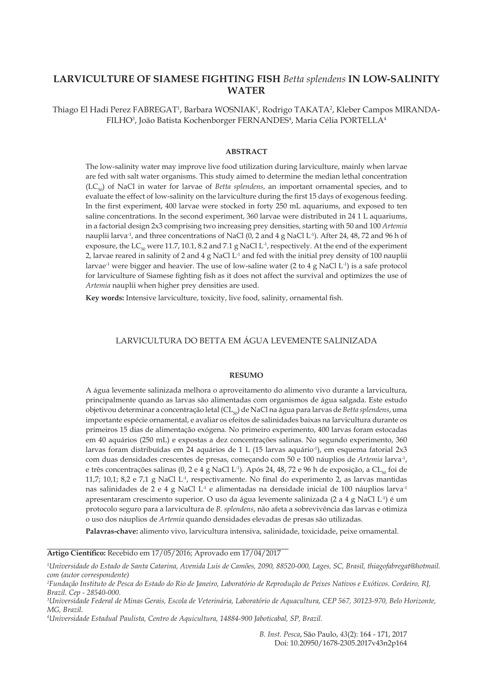# **LARVICULTURE OF SIAMESE FIGHTING FISH** *Betta splendens* **IN LOW-SALINITY WATER**

Thiago El Hadi Perez FABREGAT<sup>1</sup>, Barbara WOSNIAK<sup>1</sup>, Rodrigo TAKATA<sup>2</sup>, Kleber Campos MIRANDA-FILHO<sup>3</sup>, João Batista Kochenborger FERNANDES<sup>4</sup>, Maria Célia PORTELLA<sup>4</sup>

## **ABSTRACT**

The low-salinity water may improve live food utilization during larviculture, mainly when larvae are fed with salt water organisms. This study aimed to determine the median lethal concentration (LC50) of NaCl in water for larvae of *Betta splendens*, an important ornamental species, and to evaluate the effect of low-salinity on the larviculture during the first 15 days of exogenous feeding. In the first experiment, 400 larvae were stocked in forty 250 mL aquariums, and exposed to ten saline concentrations. In the second experiment, 360 larvae were distributed in 24 1 L aquariums, in a factorial design 2x3 comprising two increasing prey densities, starting with 50 and 100 *Artemia* nauplii larva<sup>-1</sup>, and three concentrations of NaCl (0, 2 and 4 g NaCl L<sup>-1</sup>). After 24, 48, 72 and 96 h of exposure, the  $LC_{50}$  were 11.7, 10.1, 8.2 and 7.1 g NaCl L<sup>-1</sup>, respectively. At the end of the experiment 2, larvae reared in salinity of 2 and 4 g NaCl  $L^1$  and fed with the initial prey density of 100 nauplii larvae<sup>-1</sup> were bigger and heavier. The use of low-saline water (2 to 4 g NaCl L<sup>-1</sup>) is a safe protocol for larviculture of Siamese fighting fish as it does not affect the survival and optimizes the use of *Artemia* nauplii when higher prey densities are used.

**Key words:** Intensive larviculture, toxicity, live food, salinity, ornamental fish.

# LARVICULTURA DO BETTA EM ÁGUA LEVEMENTE SALINIZADA

#### **RESUMO**

A água levemente salinizada melhora o aproveitamento do alimento vivo durante a larvicultura, principalmente quando as larvas são alimentadas com organismos de água salgada. Este estudo objetivou determinar a concentração letal (CL50) de NaCl na água para larvas de *Betta splendens*, uma importante espécie ornamental, e avaliar os efeitos de salinidades baixas na larvicultura durante os primeiros 15 dias de alimentação exógena. No primeiro experimento, 400 larvas foram estocadas em 40 aquários (250 mL) e expostas a dez concentrações salinas. No segundo experimento, 360 larvas foram distribuídas em 24 aquários de 1 L (15 larvas aquário-1), em esquema fatorial 2x3 com duas densidades crescentes de presas, começando com 50 e 100 náuplios de *Artemia* larva-1, e três concentrações salinas (0, 2 e 4 g NaCl L<sup>-1</sup>). Após 24, 48, 72 e 96 h de exposição, a CL<sub>50</sub> foi de 11,7; 10,1; 8,2 e 7,1 g NaCl  $L<sup>1</sup>$ , respectivamente. No final do experimento 2, as larvas mantidas nas salinidades de 2 e 4 g NaCl  $L^1$  e alimentadas na densidade inicial de 100 náuplios larva<sup>-1</sup> apresentaram crescimento superior. O uso da água levemente salinizada (2 a 4 g NaCl L-1) é um protocolo seguro para a larvicultura de *B. splendens*, não afeta a sobrevivência das larvas e otimiza o uso dos náuplios de *Artemia* quando densidades elevadas de presas são utilizadas.

**Palavras-chave:** alimento vivo, larvicultura intensiva, salinidade, toxicidade, peixe ornamental.

### **Artigo Científico:** Recebido em 17/05/2016; Aprovado em 17/04/2017

*B. Inst. Pesca*, São Paulo, *43*(2): 164 - 171, 2017 Doi: 10.20950/1678-2305.2017v43n2p164

*<sup>1</sup> Universidade do Estado de Santa Catarina, Avenida Luis de Camões, 2090, 88520-000, Lages, SC, Brasil, thiagofabregat@hotmail. com (autor correspondente)*

*<sup>2</sup> Fundação Instituto de Pesca do Estado do Rio de Janeiro, Laboratório de Reprodução de Peixes Nativos e Exóticos. Cordeiro, RJ, Brazil. Cep - 28540-000.* 

*<sup>3</sup> Universidade Federal de Minas Gerais, Escola de Veterinária, Laboratório de Aquacultura, CEP 567, 30123-970, Belo Horizonte, MG, Brazil.* 

*<sup>4</sup> Universidade Estadual Paulista, Centro de Aquicultura, 14884-900 Jaboticabal, SP, Brazil.*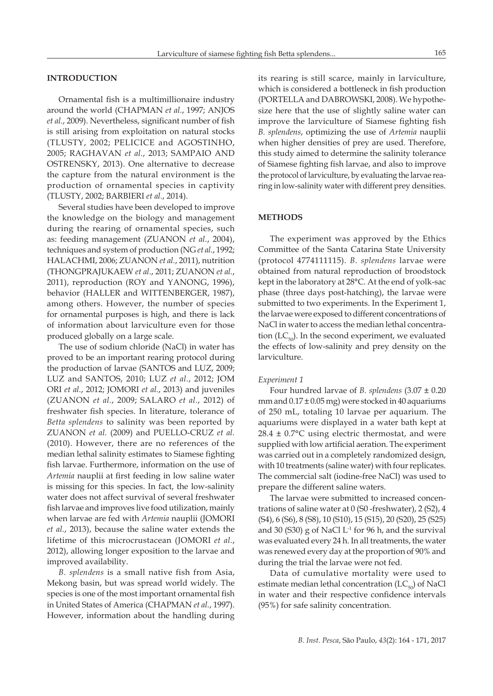# **INTRODUCTION**

Ornamental fish is a multimillionaire industry around the world (CHAPMAN *et al.*, 1997; ANJOS *et al.*, 2009). Nevertheless, significant number of fish is still arising from exploitation on natural stocks (TLUSTY, 2002; PELICICE and AGOSTINHO, 2005; RAGHAVAN *et al.*, 2013; SAMPAIO AND OSTRENSKY, 2013). One alternative to decrease the capture from the natural environment is the production of ornamental species in captivity (TLUSTY, 2002; BARBIERI *et al.*, 2014).

Several studies have been developed to improve the knowledge on the biology and management during the rearing of ornamental species, such as: feeding management (ZUANON *et al.*, 2004), techniques and system of production (NG *et al.*, 1992; HALACHMI, 2006; ZUANON *et al.*, 2011), nutrition (THONGPRAJUKAEW *et al.*, 2011; ZUANON *et al.*, 2011), reproduction (ROY and YANONG, 1996), behavior (HALLER and WITTENBERGER, 1987), among others. However, the number of species for ornamental purposes is high, and there is lack of information about larviculture even for those produced globally on a large scale.

The use of sodium chloride (NaCl) in water has proved to be an important rearing protocol during the production of larvae (SANTOS and LUZ, 2009; LUZ and SANTOS, 2010; LUZ *et al.*, 2012; JOM ORI *et al.*, 2012; JOMORI *et al.*, 2013) and juveniles (ZUANON *et al.*, 2009; SALARO *et al.*, 2012) of freshwater fish species. In literature, tolerance of *Betta splendens* to salinity was been reported by ZUANON *et al.* (2009) and PUELLO-CRUZ *et al.* (2010). However, there are no references of the median lethal salinity estimates to Siamese fighting fish larvae. Furthermore, information on the use of *Artemia* nauplii at first feeding in low saline water is missing for this species. In fact, the low-salinity water does not affect survival of several freshwater fish larvae and improves live food utilization, mainly when larvae are fed with *Artemia* nauplii (JOMORI *et al.*, 2013), because the saline water extends the lifetime of this microcrustacean (JOMORI *et al.*, 2012), allowing longer exposition to the larvae and improved availability.

*B. splendens* is a small native fish from Asia, Mekong basin, but was spread world widely. The species is one of the most important ornamental fish in United States of America (CHAPMAN *et al.*, 1997). However, information about the handling during

its rearing is still scarce, mainly in larviculture, which is considered a bottleneck in fish production (PORTELLA and DABROWSKI, 2008). We hypothesize here that the use of slightly saline water can improve the larviculture of Siamese fighting fish *B. splendens*, optimizing the use of *Artemia* nauplii when higher densities of prey are used. Therefore, this study aimed to determine the salinity tolerance of Siamese fighting fish larvae, and also to improve the protocol of larviculture, by evaluating the larvae rearing in low-salinity water with different prey densities.

### **METHODS**

The experiment was approved by the Ethics Committee of the Santa Catarina State University (protocol 4774111115). *B. splendens* larvae were obtained from natural reproduction of broodstock kept in the laboratory at 28°C. At the end of yolk-sac phase (three days post-hatching), the larvae were submitted to two experiments. In the Experiment 1, the larvae were exposed to different concentrations of NaCl in water to access the median lethal concentration ( $LC_{50}$ ). In the second experiment, we evaluated the effects of low-salinity and prey density on the larviculture.

#### *Experiment 1*

Four hundred larvae of *B. splendens* (3.07 ± 0.20 mm and  $0.17 \pm 0.05$  mg) were stocked in 40 aquariums of 250 mL, totaling 10 larvae per aquarium. The aquariums were displayed in a water bath kept at  $28.4 \pm 0.7$ °C using electric thermostat, and were supplied with low artificial aeration. The experiment was carried out in a completely randomized design, with 10 treatments (saline water) with four replicates. The commercial salt (iodine-free NaCl) was used to prepare the different saline waters.

The larvae were submitted to increased concentrations of saline water at 0 (S0 -freshwater), 2 (S2), 4 (S4), 6 (S6), 8 (S8), 10 (S10), 15 (S15), 20 (S20), 25 (S25) and 30 (S30) g of NaCl  $L<sup>-1</sup>$  for 96 h, and the survival was evaluated every 24 h. In all treatments, the water was renewed every day at the proportion of 90% and during the trial the larvae were not fed.

Data of cumulative mortality were used to estimate median lethal concentration  $(LC_{50})$  of NaCl in water and their respective confidence intervals (95%) for safe salinity concentration.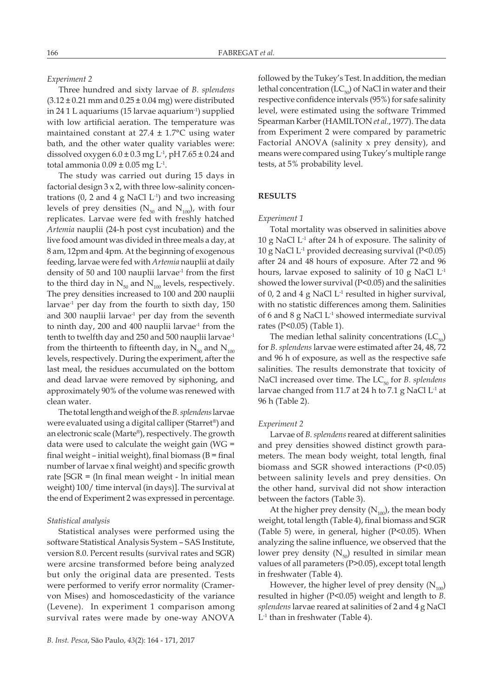## *Experiment 2*

Three hundred and sixty larvae of *B. splendens*  $(3.12 \pm 0.21 \text{ mm}$  and  $0.25 \pm 0.04 \text{ mg})$  were distributed in 24 1 L aquariums (15 larvae aquarium-1) supplied with low artificial aeration. The temperature was maintained constant at  $27.4 \pm 1.7$ °C using water bath, and the other water quality variables were: dissolved oxygen  $6.0 \pm 0.3$  mg L<sup>-1</sup>, pH 7.65  $\pm$  0.24 and total ammonia  $0.09 \pm 0.05$  mg L<sup>-1</sup>.

The study was carried out during 15 days in factorial design 3 x 2, with three low-salinity concentrations  $(0, 2 \text{ and } 4 \text{ g NaCl L}^1)$  and two increasing levels of prey densities ( $N_{50}$  and  $N_{100}$ ), with four replicates. Larvae were fed with freshly hatched *Artemia* nauplii (24-h post cyst incubation) and the live food amount was divided in three meals a day, at 8 am, 12pm and 4pm. At the beginning of exogenous feeding, larvae were fed with *Artemia* nauplii at daily density of 50 and 100 nauplii larvae $1$  from the first to the third day in  $N_{50}$  and  $N_{100}$  levels, respectively. The prey densities increased to 100 and 200 nauplii larvae $<sup>-1</sup>$  per day from the fourth to sixth day, 150</sup> and 300 nauplii larvae<sup>-1</sup> per day from the seventh to ninth day,  $200$  and  $400$  nauplii larvae<sup>-1</sup> from the tenth to twelfth day and 250 and 500 nauplii larvae<sup>-1</sup> from the thirteenth to fifteenth day, in  $N_{50}$  and  $N_{100}$ levels, respectively. During the experiment, after the last meal, the residues accumulated on the bottom and dead larvae were removed by siphoning, and approximately 90% of the volume was renewed with clean water.

The total length and weigh of the *B. splendens* larvae were evaluated using a digital calliper (Starret®) and an electronic scale (Marte®), respectively. The growth data were used to calculate the weight gain (WG = final weight – initial weight), final biomass  $(B = final)$ number of larvae x final weight) and specific growth rate [SGR = (ln final mean weight - ln initial mean weight) 100/ time interval (in days)]. The survival at the end of Experiment 2 was expressed in percentage.

### *Statistical analysis*

Statistical analyses were performed using the software Statistical Analysis System – SAS Institute, version 8.0. Percent results (survival rates and SGR) were arcsine transformed before being analyzed but only the original data are presented. Tests were performed to verify error normality (Cramervon Mises) and homoscedasticity of the variance (Levene). In experiment 1 comparison among survival rates were made by one-way ANOVA

followed by the Tukey's Test. In addition, the median lethal concentration ( $LC_{50}$ ) of NaCl in water and their respective confidence intervals (95%) for safe salinity level, were estimated using the software Trimmed Spearman Karber (HAMILTON *et al.*, 1977). The data from Experiment 2 were compared by parametric Factorial ANOVA (salinity x prey density), and means were compared using Tukey's multiple range tests, at 5% probability level.

### **RESULTS**

#### *Experiment 1*

Total mortality was observed in salinities above 10 g NaCl  $L^1$  after 24 h of exposure. The salinity of 10 g NaCl  $L^1$  provided decreasing survival (P<0.05) after 24 and 48 hours of exposure. After 72 and 96 hours, larvae exposed to salinity of 10 g NaCl L-1 showed the lower survival (P<0.05) and the salinities of 0, 2 and 4 g NaCl L-1 resulted in higher survival, with no statistic differences among them. Salinities of 6 and 8 g NaCl L-1 showed intermediate survival rates (P<0.05) (Table 1).

The median lethal salinity concentrations  $(LC_{50})$ for *B. splendens* larvae were estimated after 24, 48, 72 and 96 h of exposure, as well as the respective safe salinities. The results demonstrate that toxicity of NaCl increased over time. The LC<sub>50</sub> for *B. splendens* larvae changed from 11.7 at 24 h to 7.1 g NaCl  $L^1$  at 96 h (Table 2).

#### *Experiment 2*

Larvae of *B. splendens* reared at different salinities and prey densities showed distinct growth parameters. The mean body weight, total length, final biomass and SGR showed interactions (P<0.05) between salinity levels and prey densities. On the other hand, survival did not show interaction between the factors (Table 3).

At the higher prey density  $(N_{100})$ , the mean body weight, total length (Table 4), final biomass and SGR (Table 5) were, in general, higher (P<0.05). When analyzing the saline influence, we observed that the lower prey density  $(N_{50})$  resulted in similar mean values of all parameters (P>0.05), except total length in freshwater (Table 4).

However, the higher level of prey density  $(N_{100})$ resulted in higher (P<0.05) weight and length to *B. splendens* larvae reared at salinities of 2 and 4 g NaCl  $L<sup>-1</sup>$  than in freshwater (Table 4).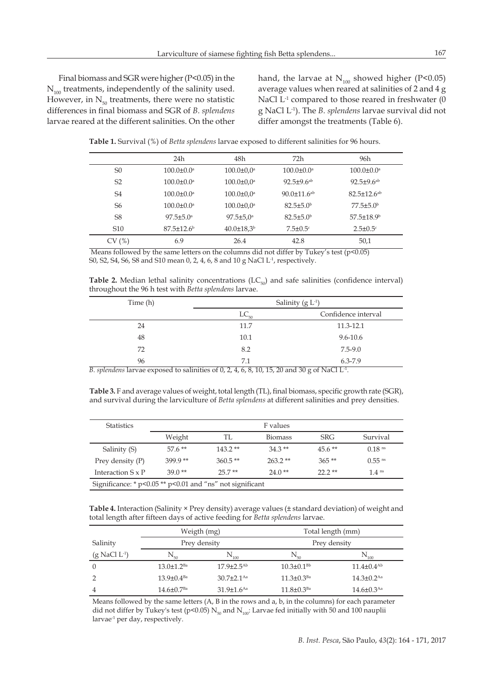Final biomass and SGR were higher (P<0.05) in the  $N_{100}$  treatments, independently of the salinity used. However, in  $N_{50}$  treatments, there were no statistic differences in final biomass and SGR of *B. splendens* larvae reared at the different salinities. On the other hand, the larvae at  $N_{100}$  showed higher (P<0.05) average values when reared at salinities of 2 and 4 g NaCl L<sup>-1</sup> compared to those reared in freshwater (0 g NaCl L-1). The *B. splendens* larvae survival did not differ amongst the treatments (Table 6).

**Table 1.** Survival (%) of *Betta splendens* larvae exposed to different salinities for 96 hours.

|                 | 24h                          | 48h                          | 72h                           | 96h                           |
|-----------------|------------------------------|------------------------------|-------------------------------|-------------------------------|
| S <sub>0</sub>  | $100.0 \pm 0.0$ <sup>a</sup> | $100.0 \pm 0.0$ <sup>a</sup> | $100.0 \pm 0.0^a$             | $100.0 \pm 0.0$ <sup>a</sup>  |
| S <sub>2</sub>  | $100.0 \pm 0.0$ <sup>a</sup> | $100.0 \pm 0.0^a$            | $92.5 \pm 9.6$ <sup>ab</sup>  | $92.5 \pm 9.6$ <sup>ab</sup>  |
| S <sub>4</sub>  | $100.0 \pm 0.0^a$            | $100.0 \pm 0.0^a$            | $90.0 \pm 11.6$ <sup>ab</sup> | $82.5 \pm 12.6$ <sup>ab</sup> |
| S <sub>6</sub>  | $100.0 \pm 0.0$ <sup>a</sup> | $100.0 \pm 0.0$ <sup>a</sup> | $82.5 \pm 5.0^{\circ}$        | $77.5 \pm 5.0^{\circ}$        |
| S8              | $97.5 \pm 5.0^{\circ}$       | $97.5 \pm 5.0^{\circ}$       | $82.5 \pm 5.0^{\circ}$        | $57.5 \pm 18.9^{\circ}$       |
| S <sub>10</sub> | $87.5 \pm 12.6^{\circ}$      | $40.0 \pm 18.3^b$            | $7.5 \pm 0.5$ <sup>c</sup>    | $2.5 \pm 0.5$ <sup>c</sup>    |
| (%)             | 6.9                          | 26.4                         | 42.8                          | 50,1                          |

Means followed by the same letters on the columns did not differ by Tukey's test  $(p<0.05)$ S0, S2, S4, S6, S8 and S10 mean 0, 2, 4, 6, 8 and 10 g NaCl L-1, respectively.

**Table 2.** Median lethal salinity concentrations  $(LC_{50})$  and safe salinities (confidence interval) throughout the 96 h test with *Betta splendens* larvae.

| Time (h) | Salinity $(g L^{-1})$ |                     |  |
|----------|-----------------------|---------------------|--|
|          | $LC_{50}$             | Confidence interval |  |
| 24       | 11.7                  | 11.3-12.1           |  |
| 48       | 10.1                  | $9.6 - 10.6$        |  |
| 72       | 8.2                   | $7.5 - 9.0$         |  |
| 96       | 7.1                   | 6.3-7.9             |  |

*B. splendens* larvae exposed to salinities of 0, 2, 4, 6, 8, 10, 15, 20 and 30 g of NaCl L-1.

**Table 3.** F and average values of weight, total length (TL), final biomass, specific growth rate (SGR), and survival during the larviculture of *Betta splendens* at different salinities and prey densities.

| <b>Statistics</b>                                               | F values  |           |                |            |                      |
|-----------------------------------------------------------------|-----------|-----------|----------------|------------|----------------------|
|                                                                 | Weight    | TL        | <b>Biomass</b> | <b>SRG</b> | Survival             |
| Salinity (S)                                                    | $576**$   | $143.2**$ | $34.3**$       | $45.6**$   | $0.18$ <sup>ns</sup> |
| Prey density $(P)$                                              | $399.9**$ | $360.5**$ | $263.2**$      | $365**$    | $0.55$ <sup>ns</sup> |
| Interaction $S \times P$                                        | $39.0**$  | $25.7**$  | $24.0**$       | $22.2**$   | 1.4 <sup>ns</sup>    |
| Significance: * $p$ <0.05 ** $p$ <0.01 and "ns" not significant |           |           |                |            |                      |

**Table 4.** Interaction (Salinity × Prey density) average values (± standard deviation) of weight and total length after fifteen days of active feeding for *Betta splendens* larvae.

|                             | Weigth (mg)                  |                              | Total length (mm)            |                              |
|-----------------------------|------------------------------|------------------------------|------------------------------|------------------------------|
| Salinity                    | Prey density                 |                              | Prey density                 |                              |
| $(g$ NaCl L <sup>-1</sup> ) | $\rm N_{_{50}}$              | $\mathbf{N}_{100}$           | $\rm N_{_{50}}$              | $N_{_{100}}$                 |
| $\theta$                    | $13.0 \pm 1.2$ <sup>Ba</sup> | $17.9 \pm 2.5^{Ab}$          | $10.3 \pm 0.1^{Bb}$          | $11.4\pm 0.4^{Ab}$           |
|                             | $13.9 \pm 0.4$ <sup>Ba</sup> | $30.7 \pm 2.1$ <sup>Aa</sup> | $11.3 \pm 0.3$ <sup>Ba</sup> | $14.3 + 0.2$ <sup>Aa</sup>   |
| 4                           | $14.6 \pm 0.7$ <sup>Ba</sup> | $31.9 \pm 1.6$ <sup>Aa</sup> | $11.8 \pm 0.3$ <sup>Ba</sup> | $14.6 \pm 0.3$ <sup>Aa</sup> |

Means followed by the same letters (A, B in the rows and a, b, in the columns) for each parameter did not differ by Tukey's test (p<0.05)  $N_{50}$  and  $N_{100}$ : Larvae fed initially with 50 and 100 nauplii larvae<sup>-1</sup> per day, respectively.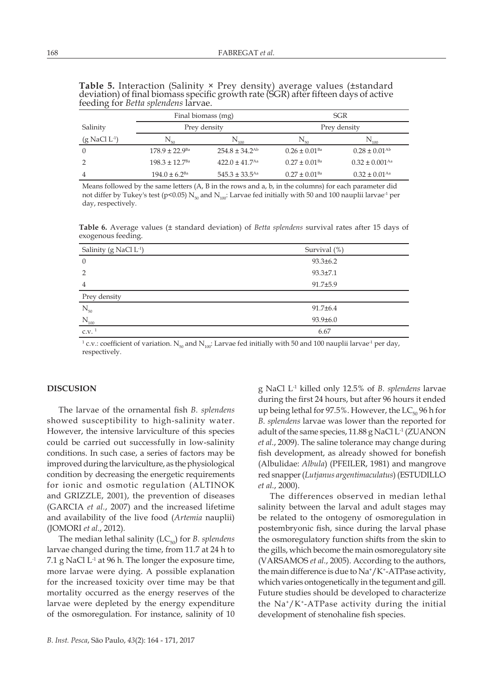|                             | Final biomass (mg)             |                                | SGR                           |                                |
|-----------------------------|--------------------------------|--------------------------------|-------------------------------|--------------------------------|
| Salinity                    | Prey density                   |                                | Prey density                  |                                |
| $(g$ NaCl L <sup>-1</sup> ) | $N_{50}$                       | $N_{_{100}}$                   | $\rm N_{so}$                  | $N_{100}$                      |
| $\theta$                    | $178.9 \pm 22.9$ <sup>Ba</sup> | $254.8 \pm 34.2$ <sup>Ab</sup> | $0.26 \pm 0.01$ <sup>Ba</sup> | $0.28 \pm 0.01^{\rm Ab}$       |
|                             | $198.3 + 12.7$ <sup>Ba</sup>   | $422.0 \pm 41.7$ <sup>Aa</sup> | $0.27 \pm 0.01$ <sup>Ba</sup> | $0.32 \pm 0.001$ <sup>Aa</sup> |
|                             | $194.0 \pm 6.2$ <sup>Ba</sup>  | $545.3 \pm 33.5$ <sup>Aa</sup> | $0.27 \pm 0.01$ <sup>Ba</sup> | $0.32 \pm 0.01$ <sup>Aa</sup>  |

**Table 5.** Interaction (Salinity × Prey density) average values (±standard deviation) of final biomass specific growth rate (SGR) after fifteen days of active feeding for *Betta splendens* larvae.

Means followed by the same letters (A, B in the rows and a, b, in the columns) for each parameter did not differ by Tukey's test (p<0.05)  $N_{50}$  and  $N_{100}$ : Larvae fed initially with 50 and 100 nauplii larvae<sup>-1</sup> per day, respectively.

**Table 6.** Average values (± standard deviation) of *Betta splendens* survival rates after 15 days of exogenous feeding.

| Salinity (g NaCl L <sup>-1</sup> ) | Survival (%)   |
|------------------------------------|----------------|
| $\overline{0}$                     | $93.3 \pm 6.2$ |
| $\overline{2}$                     | $93.3 \pm 7.1$ |
| $\overline{4}$                     | $91.7 \pm 5.9$ |
| Prey density                       |                |
| $\rm N_{\rm 50}$                   | $91.7 \pm 6.4$ |
| $\rm N_{100}$                      | $93.9 \pm 6.0$ |
| C.V. <sup>1</sup>                  | 6.67           |

<sup>1</sup> c.v.: coefficient of variation. N<sub>50</sub> and N<sub>100</sub>: Larvae fed initially with 50 and 100 nauplii larvae<sup>-1</sup> per day, respectively.

# **DISCUSION**

The larvae of the ornamental fish *B. splendens*  showed susceptibility to high-salinity water. However, the intensive larviculture of this species could be carried out successfully in low-salinity conditions. In such case, a series of factors may be improved during the larviculture, as the physiological condition by decreasing the energetic requirements for ionic and osmotic regulation (ALTINOK and GRIZZLE, 2001), the prevention of diseases (GARCIA *et al.*, 2007) and the increased lifetime and availability of the live food (*Artemia* nauplii) (JOMORI *et al.*, 2012).

The median lethal salinity  $(LC_{50})$  for *B. splendens* larvae changed during the time, from 11.7 at 24 h to 7.1 g NaCl  $L<sup>-1</sup>$  at 96 h. The longer the exposure time, more larvae were dying. A possible explanation for the increased toxicity over time may be that mortality occurred as the energy reserves of the larvae were depleted by the energy expenditure of the osmoregulation. For instance, salinity of 10 g NaCl L-1 killed only 12.5% of *B. splendens* larvae during the first 24 hours, but after 96 hours it ended up being lethal for 97.5%. However, the  $LC_{50}$  96 h for *B. splendens* larvae was lower than the reported for adult of the same species, 11.88 g NaCl L<sup>-1</sup> (ZUANON *et al.*, 2009). The saline tolerance may change during fish development, as already showed for bonefish (Albulidae: *Albula*) (PFEILER, 1981) and mangrove red snapper (*Lutjanus argentimaculatus*) (ESTUDILLO *et al.*, 2000).

The differences observed in median lethal salinity between the larval and adult stages may be related to the ontogeny of osmoregulation in postembryonic fish, since during the larval phase the osmoregulatory function shifts from the skin to the gills, which become the main osmoregulatory site (VARSAMOS *et al.*, 2005). According to the authors, the main difference is due to  $\mathrm{Na^+}/\mathrm{K^+}\text{-ATP}$ ase activity, which varies ontogenetically in the tegument and gill. Future studies should be developed to characterize the  $\text{Na}^*/\text{K}^*$ -ATPase activity during the initial development of stenohaline fish species.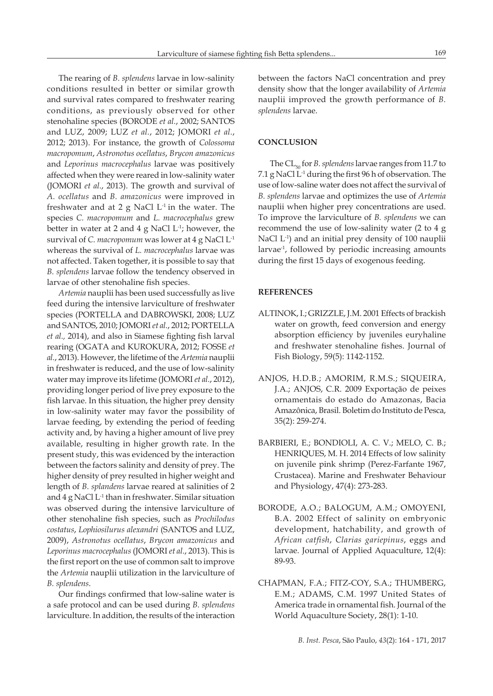The rearing of *B. splendens* larvae in low-salinity conditions resulted in better or similar growth and survival rates compared to freshwater rearing conditions, as previously observed for other stenohaline species (BORODE *et al.*, 2002; SANTOS and LUZ, 2009; LUZ *et al.*, 2012; JOMORI *et al.*, 2012; 2013). For instance, the growth of *Colossoma macropomum*, *Astronotus ocellatus*, *Brycon amazonicus*  and *Leporinus macrocephalus* larvae was positively affected when they were reared in low-salinity water (JOMORI *et al.*, 2013). The growth and survival of *A. ocellatus* and *B. amazonicus* were improved in freshwater and at 2 g NaCl  $L^1$  in the water. The species *C. macropomum* and *L. macrocephalus* grew better in water at 2 and 4 g NaCl  $L<sup>-1</sup>$ ; however, the survival of *C. macropomum* was lower at 4 g NaCl L-1 whereas the survival of *L. macrocephalus* larvae was not affected. Taken together, it is possible to say that *B. splendens* larvae follow the tendency observed in larvae of other stenohaline fish species.

*Artemia* nauplii has been used successfully as live feed during the intensive larviculture of freshwater species (PORTELLA and DABROWSKI, 2008; LUZ and SANTOS, 2010; JOMORI *et al.*, 2012; PORTELLA *et al.,* 2014), and also in Siamese fighting fish larval rearing (OGATA and KUROKURA, 2012; FOSSE *et al.*, 2013). However, the lifetime of the *Artemia* nauplii in freshwater is reduced, and the use of low-salinity water may improve its lifetime (JOMORI *et al.*, 2012), providing longer period of live prey exposure to the fish larvae. In this situation, the higher prey density in low-salinity water may favor the possibility of larvae feeding, by extending the period of feeding activity and, by having a higher amount of live prey available, resulting in higher growth rate. In the present study, this was evidenced by the interaction between the factors salinity and density of prey. The higher density of prey resulted in higher weight and length of *B. splandens* larvae reared at salinities of 2 and 4 g NaCl L-1 than in freshwater. Similar situation was observed during the intensive larviculture of other stenohaline fish species, such as *Prochilodus costatus*, *Lophiosilurus alexandri* (SANTOS and LUZ, 2009), *Astronotus ocellatus*, *Brycon amazonicus* and *Leporinus macrocephalus* (JOMORI *et al.*, 2013). This is the first report on the use of common salt to improve the *Artemia* nauplii utilization in the larviculture of *B. splendens*.

Our findings confirmed that low-saline water is a safe protocol and can be used during *B. splendens*  larviculture. In addition, the results of the interaction

between the factors NaCl concentration and prey density show that the longer availability of *Artemia* nauplii improved the growth performance of *B. splendens* larvae.

## **CONCLUSION**

The CL<sub>50</sub> for *B. splendens* larvae ranges from 11.7 to 7.1 g NaCl L<sup>-1</sup> during the first 96 h of observation. The use of low-saline water does not affect the survival of *B. splendens* larvae and optimizes the use of *Artemia* nauplii when higher prey concentrations are used. To improve the larviculture of *B. splendens* we can recommend the use of low-salinity water (2 to 4 g NaCl L<sup>-1</sup>) and an initial prey density of 100 nauplii larvae<sup>-1</sup>, followed by periodic increasing amounts during the first 15 days of exogenous feeding.

## **REFERENCES**

- ALTINOK, I.; GRIZZLE, J.M. 2001 Effects of brackish water on growth, feed conversion and energy absorption efficiency by juveniles euryhaline and freshwater stenohaline fishes. Journal of Fish Biology, 59(5): 1142-1152.
- ANJOS, H.D.B.; AMORIM, R.M.S.; SIQUEIRA, J.A.; ANJOS, C.R. 2009 Exportação de peixes ornamentais do estado do Amazonas, Bacia Amazônica, Brasil. Boletim do Instituto de Pesca, 35(2): 259-274.
- BARBIERI, E.; BONDIOLI, A. C. V.; MELO, C. B.; HENRIQUES, M. H. 2014 Effects of low salinity on juvenile pink shrimp (Perez-Farfante 1967, Crustacea). Marine and Freshwater Behaviour and Physiology, 47(4): 273-283.
- BORODE, A.O.; BALOGUM, A.M.; OMOYENI, B.A. 2002 Effect of salinity on embryonic development, hatchability, and growth of *African catfish*, *Clarias gariepinus*, eggs and larvae. Journal of Applied Aquaculture, 12(4): 89-93.
- CHAPMAN, F.A.; FITZ-COY, S.A.; THUMBERG, E.M.; ADAMS, C.M. 1997 United States of America trade in ornamental fish. Journal of the World Aquaculture Society, 28(1): 1-10.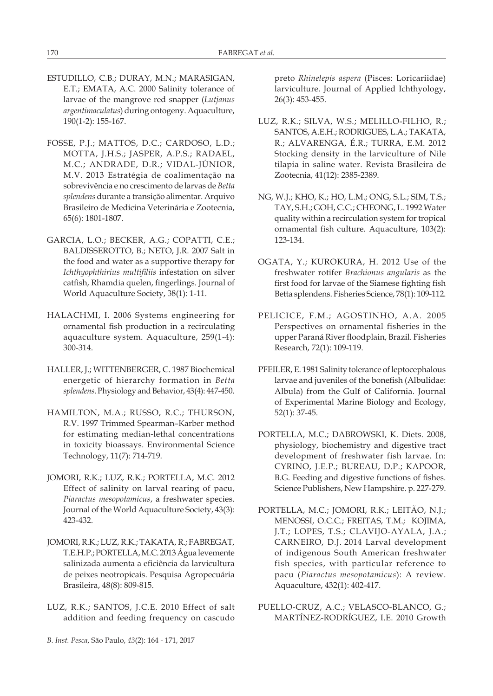- ESTUDILLO, C.B.; DURAY, M.N.; MARASIGAN, E.T.; EMATA, A.C. 2000 Salinity tolerance of larvae of the mangrove red snapper (*Lutjanus argentimaculatus*) during ontogeny. Aquaculture, 190(1-2): 155-167.
- FOSSE, P.J.; MATTOS, D.C.; CARDOSO, L.D.; MOTTA, J.H.S.; JASPER, A.P.S.; RADAEL, M.C.; ANDRADE, D.R.; VIDAL-JÚNIOR, M.V. 2013 Estratégia de coalimentação na sobrevivência e no crescimento de larvas de *Betta splendens* durante a transição alimentar. Arquivo Brasileiro de Medicina Veterinária e Zootecnia, 65(6): 1801-1807.
- GARCIA, L.O.; BECKER, A.G.; COPATTI, C.E.; BALDISSEROTTO, B.; NETO, J.R. 2007 Salt in the food and water as a supportive therapy for *Ichthyophthirius multifiliis* infestation on silver catfish, Rhamdia quelen, fingerlings. Journal of World Aquaculture Society, 38(1): 1-11.
- HALACHMI, I. 2006 Systems engineering for ornamental fish production in a recirculating aquaculture system. Aquaculture, 259(1-4): 300-314.
- HALLER, J.; WITTENBERGER, C. 1987 Biochemical energetic of hierarchy formation in *Betta splendens*. Physiology and Behavior, 43(4): 447-450.
- HAMILTON, M.A.; RUSSO, R.C.; THURSON, R.V. 1997 Trimmed Spearman–Karber method for estimating median-lethal concentrations in toxicity bioassays. Environmental Science Technology, 11(7): 714-719.
- JOMORI, R.K.; LUZ, R.K.; PORTELLA, M.C. 2012 Effect of salinity on larval rearing of pacu, *Piaractus mesopotamicus*, a freshwater species. Journal of the World Aquaculture Society, 43(3): 423-432.
- JOMORI, R.K.; LUZ, R.K.; TAKATA, R.; FABREGAT, T.E.H.P.; PORTELLA, M.C. 2013 Água levemente salinizada aumenta a eficiência da larvicultura de peixes neotropicais. Pesquisa Agropecuária Brasileira, 48(8): 809-815.
- LUZ, R.K.; SANTOS, J.C.E. 2010 Effect of salt addition and feeding frequency on cascudo

preto *Rhinelepis aspera* (Pisces: Loricariidae) larviculture. Journal of Applied Ichthyology, 26(3): 453-455.

- LUZ, R.K.; SILVA, W.S.; MELILLO-FILHO, R.; SANTOS, A.E.H.; RODRIGUES, L.A.; TAKATA, R.; ALVARENGA, É.R.; TURRA, E.M. 2012 Stocking density in the larviculture of Nile tilapia in saline water. Revista Brasileira de Zootecnia, 41(12): 2385-2389.
- NG, W.J.; KHO, K.; HO, L.M.; ONG, S.L.; SIM, T.S.; TAY, S.H.; GOH, C.C.; CHEONG, L. 1992 Water quality within a recirculation system for tropical ornamental fish culture. Aquaculture, 103(2): 123-134.
- OGATA, Y.; KUROKURA, H. 2012 Use of the freshwater rotifer *Brachionus angularis* as the first food for larvae of the Siamese fighting fish Betta splendens. Fisheries Science, 78(1): 109-112.
- PELICICE, F.M.; AGOSTINHO, A.A. 2005 Perspectives on ornamental fisheries in the upper Paraná River floodplain, Brazil. Fisheries Research, 72(1): 109-119.
- PFEILER, E. 1981 Salinity tolerance of leptocephalous larvae and juveniles of the bonefish (Albulidae: Albula) from the Gulf of California. Journal of Experimental Marine Biology and Ecology, 52(1): 37-45.
- PORTELLA, M.C.; DABROWSKI, K. Diets. 2008, physiology, biochemistry and digestive tract development of freshwater fish larvae. In: CYRINO, J.E.P.; BUREAU, D.P.; KAPOOR, B.G. Feeding and digestive functions of fishes. Science Publishers, New Hampshire. p. 227-279.
- PORTELLA, M.C.; JOMORI, R.K.; LEITÃO, N.J.; MENOSSI, O.C.C.; FREITAS, T.M.; KOJIMA, J.T.; LOPES, T.S.; CLAVIJO-AYALA, J.A.; CARNEIRO, D.J. 2014 Larval development of indigenous South American freshwater fish species, with particular reference to pacu (*Piaractus mesopotamicus*): A review. Aquaculture, 432(1): 402-417.
- PUELLO-CRUZ, A.C.; VELASCO-BLANCO, G.; MARTÍNEZ-RODRÍGUEZ, I.E. 2010 Growth

*B. Inst. Pesca*, São Paulo, *43*(2): 164 - 171, 2017